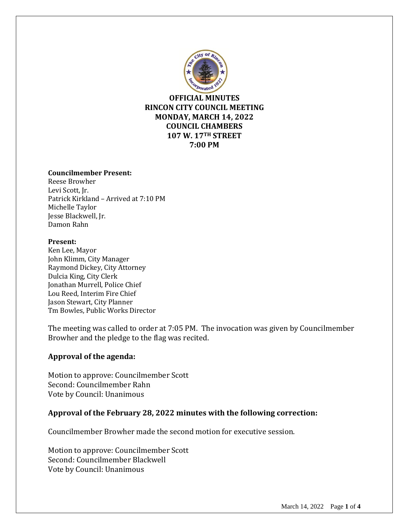

**OFFICIAL MINUTES RINCON CITY COUNCIL MEETING MONDAY, MARCH 14, 2022 COUNCIL CHAMBERS 107 W. 17TH STREET 7:00 PM**

### **Councilmember Present:**

Reese Browher Levi Scott, Jr. Patrick Kirkland – Arrived at 7:10 PM Michelle Taylor Jesse Blackwell, Jr. Damon Rahn

#### **Present:**

Ken Lee, Mayor John Klimm, City Manager Raymond Dickey, City Attorney Dulcia King, City Clerk Jonathan Murrell, Police Chief Lou Reed, Interim Fire Chief Jason Stewart, City Planner Tm Bowles, Public Works Director

The meeting was called to order at 7:05 PM. The invocation was given by Councilmember Browher and the pledge to the flag was recited.

### **Approval of the agenda:**

Motion to approve: Councilmember Scott Second: Councilmember Rahn Vote by Council: Unanimous

### **Approval of the February 28, 2022 minutes with the following correction:**

Councilmember Browher made the second motion for executive session.

Motion to approve: Councilmember Scott Second: Councilmember Blackwell Vote by Council: Unanimous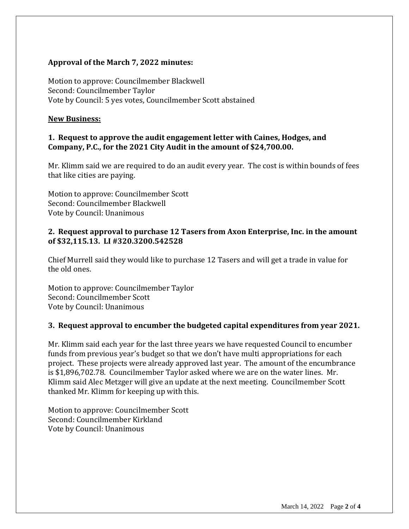## **Approval of the March 7, 2022 minutes:**

Motion to approve: Councilmember Blackwell Second: Councilmember Taylor Vote by Council: 5 yes votes, Councilmember Scott abstained

## **New Business:**

## **1. Request to approve the audit engagement letter with Caines, Hodges, and Company, P.C., for the 2021 City Audit in the amount of \$24,700.00.**

Mr. Klimm said we are required to do an audit every year. The cost is within bounds of fees that like cities are paying.

Motion to approve: Councilmember Scott Second: Councilmember Blackwell Vote by Council: Unanimous

## **2. Request approval to purchase 12 Tasers from Axon Enterprise, Inc. in the amount of \$32,115.13. LI #320.3200.542528**

Chief Murrell said they would like to purchase 12 Tasers and will get a trade in value for the old ones.

Motion to approve: Councilmember Taylor Second: Councilmember Scott Vote by Council: Unanimous

## **3. Request approval to encumber the budgeted capital expenditures from year 2021.**

Mr. Klimm said each year for the last three years we have requested Council to encumber funds from previous year's budget so that we don't have multi appropriations for each project. These projects were already approved last year. The amount of the encumbrance is \$1,896,702.78. Councilmember Taylor asked where we are on the water lines. Mr. Klimm said Alec Metzger will give an update at the next meeting. Councilmember Scott thanked Mr. Klimm for keeping up with this.

Motion to approve: Councilmember Scott Second: Councilmember Kirkland Vote by Council: Unanimous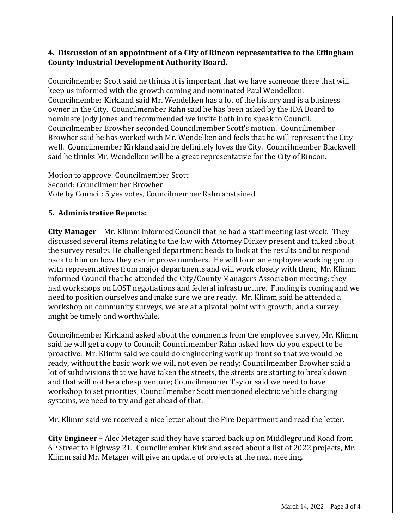## **4. Discussion of an appointment of a City of Rincon representative to the Effingham County Industrial Development Authority Board.**

Councilmember Scott said he thinks it is important that we have someone there that will keep us informed with the growth coming and nominated Paul Wendelken. Councilmember Kirkland said Mr. Wendelken has a lot of the history and is a business owner in the City. Councilmember Rahn said he has been asked by the IDA Board to nominate Jody Jones and recommended we invite both in to speak to Council. Councilmember Browher seconded Councilmember Scott's motion. Councilmember Browher said he has worked with Mr. Wendelken and feels that he will represent the City well. Councilmember Kirkland said he definitely loves the City. Councilmember Blackwell said he thinks Mr. Wendelken will be a great representative for the City of Rincon.

Motion to approve: Councilmember Scott Second: Councilmember Browher Vote by Council: 5 yes votes, Councilmember Rahn abstained

# **5. Administrative Reports:**

**City Manager** – Mr. Klimm informed Council that he had a staff meeting last week. They discussed several items relating to the law with Attorney Dickey present and talked about the survey results. He challenged department heads to look at the results and to respond back to him on how they can improve numbers. He will form an employee working group with representatives from major departments and will work closely with them; Mr. Klimm informed Council that he attended the City/County Managers Association meeting; they had workshops on LOST negotiations and federal infrastructure. Funding is coming and we need to position ourselves and make sure we are ready. Mr. Klimm said he attended a workshop on community surveys, we are at a pivotal point with growth, and a survey might be timely and worthwhile.

Councilmember Kirkland asked about the comments from the employee survey, Mr. Klimm said he will get a copy to Council; Councilmember Rahn asked how do you expect to be proactive. Mr. Klimm said we could do engineering work up front so that we would be ready, without the basic work we will not even be ready; Councilmember Browher said a lot of subdivisions that we have taken the streets, the streets are starting to break down and that will not be a cheap venture; Councilmember Taylor said we need to have workshop to set priorities; Councilmember Scott mentioned electric vehicle charging systems, we need to try and get ahead of that.

Mr. Klimm said we received a nice letter about the Fire Department and read the letter.

**City Engineer** – Alec Metzger said they have started back up on Middleground Road from 6th Street to Highway 21. Councilmember Kirkland asked about a list of 2022 projects, Mr. Klimm said Mr. Metzger will give an update of projects at the next meeting.